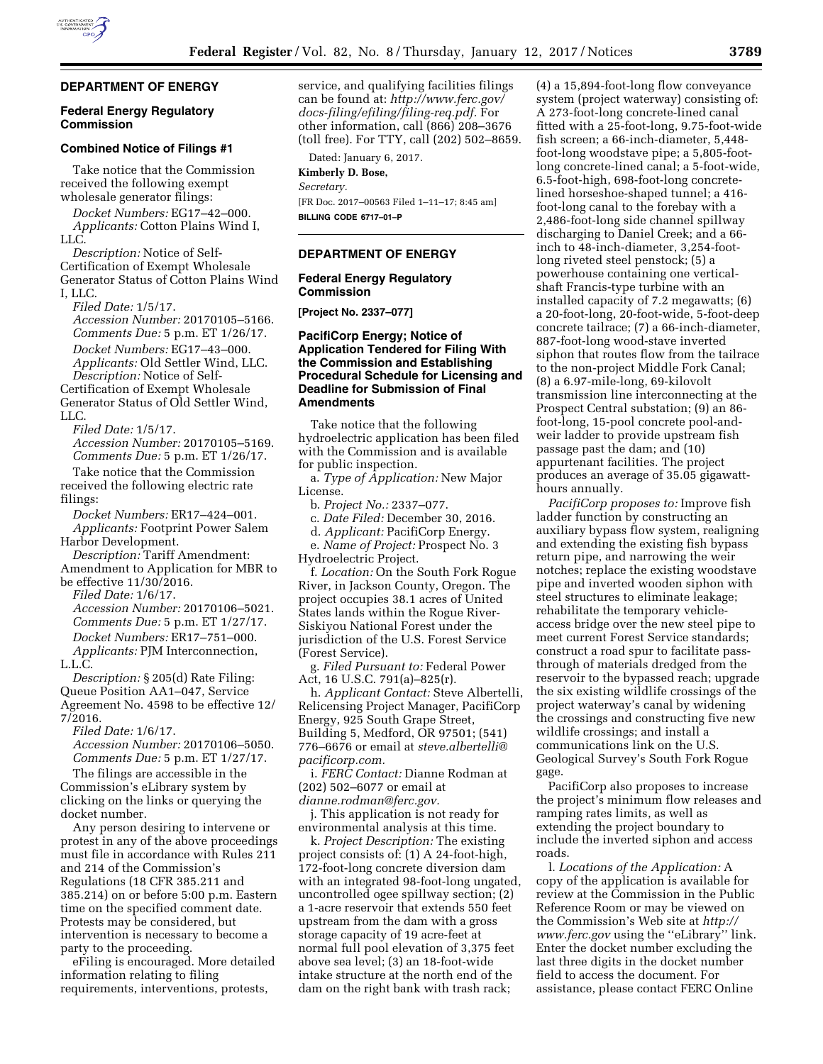## **DEPARTMENT OF ENERGY**

### **Federal Energy Regulatory Commission**

#### **Combined Notice of Filings #1**

Take notice that the Commission received the following exempt wholesale generator filings:

*Docket Numbers:* EG17–42–000. *Applicants:* Cotton Plains Wind I, LLC.

*Description:* Notice of Self-Certification of Exempt Wholesale Generator Status of Cotton Plains Wind I, LLC.

*Filed Date:* 1/5/17. *Accession Number:* 20170105–5166. *Comments Due:* 5 p.m. ET 1/26/17. *Docket Numbers:* EG17–43–000. *Applicants:* Old Settler Wind, LLC. *Description:* Notice of Self-

Certification of Exempt Wholesale Generator Status of Old Settler Wind, LLC.

*Filed Date:* 1/5/17.

*Accession Number:* 20170105–5169. *Comments Due:* 5 p.m. ET 1/26/17.

Take notice that the Commission received the following electric rate filings:

*Docket Numbers:* ER17–424–001. *Applicants:* Footprint Power Salem Harbor Development.

*Description:* Tariff Amendment: Amendment to Application for MBR to be effective 11/30/2016.

*Filed Date:* 1/6/17.

*Accession Number:* 20170106–5021. *Comments Due:* 5 p.m. ET 1/27/17. *Docket Numbers:* ER17–751–000. *Applicants:* PJM Interconnection,

L.L.C.

*Description:* § 205(d) Rate Filing: Queue Position AA1–047, Service Agreement No. 4598 to be effective 12/ 7/2016.

*Filed Date:* 1/6/17.

*Accession Number:* 20170106–5050. *Comments Due:* 5 p.m. ET 1/27/17.

The filings are accessible in the Commission's eLibrary system by clicking on the links or querying the docket number.

Any person desiring to intervene or protest in any of the above proceedings must file in accordance with Rules 211 and 214 of the Commission's Regulations (18 CFR 385.211 and 385.214) on or before 5:00 p.m. Eastern time on the specified comment date. Protests may be considered, but intervention is necessary to become a party to the proceeding.

eFiling is encouraged. More detailed information relating to filing requirements, interventions, protests,

service, and qualifying facilities filings can be found at: *[http://www.ferc.gov/](http://www.ferc.gov/docs-filing/efiling/filing-req.pdf)  [docs-filing/efiling/filing-req.pdf.](http://www.ferc.gov/docs-filing/efiling/filing-req.pdf)* For other information, call (866) 208–3676 (toll free). For TTY, call (202) 502–8659.

Dated: January 6, 2017. **Kimberly D. Bose,** 

*Secretary.* 

[FR Doc. 2017–00563 Filed 1–11–17; 8:45 am] **BILLING CODE 6717–01–P** 

## **DEPARTMENT OF ENERGY**

# **Federal Energy Regulatory Commission**

**[Project No. 2337–077]** 

## **PacifiCorp Energy; Notice of Application Tendered for Filing With the Commission and Establishing Procedural Schedule for Licensing and Deadline for Submission of Final Amendments**

Take notice that the following hydroelectric application has been filed with the Commission and is available for public inspection.

a. *Type of Application:* New Major License.

b. *Project No.:* 2337–077.

c. *Date Filed:* December 30, 2016.

d. *Applicant:* PacifiCorp Energy.

e. *Name of Project:* Prospect No. 3 Hydroelectric Project.

f. *Location:* On the South Fork Rogue River, in Jackson County, Oregon. The project occupies 38.1 acres of United States lands within the Rogue River-Siskiyou National Forest under the jurisdiction of the U.S. Forest Service (Forest Service).

g. *Filed Pursuant to:* Federal Power Act, 16 U.S.C. 791(a)–825(r).

h. *Applicant Contact:* Steve Albertelli, Relicensing Project Manager, PacifiCorp Energy, 925 South Grape Street, Building 5, Medford, OR 97501; (541) 776–6676 or email at *[steve.albertelli@](mailto:steve.albertelli@pacificorp.com) [pacificorp.com.](mailto:steve.albertelli@pacificorp.com)* 

i. *FERC Contact:* Dianne Rodman at (202) 502–6077 or email at *[dianne.rodman@ferc.gov.](mailto:dianne.rodman@ferc.gov)* 

j. This application is not ready for environmental analysis at this time.

k. *Project Description:* The existing project consists of: (1) A 24-foot-high, 172-foot-long concrete diversion dam with an integrated 98-foot-long ungated, uncontrolled ogee spillway section; (2) a 1-acre reservoir that extends 550 feet upstream from the dam with a gross storage capacity of 19 acre-feet at normal full pool elevation of 3,375 feet above sea level; (3) an 18-foot-wide intake structure at the north end of the dam on the right bank with trash rack;

(4) a 15,894-foot-long flow conveyance system (project waterway) consisting of: A 273-foot-long concrete-lined canal fitted with a 25-foot-long, 9.75-foot-wide fish screen; a 66-inch-diameter, 5,448 foot-long woodstave pipe; a 5,805-footlong concrete-lined canal; a 5-foot-wide, 6.5-foot-high, 698-foot-long concretelined horseshoe-shaped tunnel; a 416 foot-long canal to the forebay with a 2,486-foot-long side channel spillway discharging to Daniel Creek; and a 66 inch to 48-inch-diameter, 3,254-footlong riveted steel penstock; (5) a powerhouse containing one verticalshaft Francis-type turbine with an installed capacity of 7.2 megawatts; (6) a 20-foot-long, 20-foot-wide, 5-foot-deep concrete tailrace; (7) a 66-inch-diameter, 887-foot-long wood-stave inverted siphon that routes flow from the tailrace to the non-project Middle Fork Canal; (8) a 6.97-mile-long, 69-kilovolt transmission line interconnecting at the Prospect Central substation; (9) an 86 foot-long, 15-pool concrete pool-andweir ladder to provide upstream fish passage past the dam; and (10) appurtenant facilities. The project produces an average of 35.05 gigawatthours annually.

*PacifiCorp proposes to:* Improve fish ladder function by constructing an auxiliary bypass flow system, realigning and extending the existing fish bypass return pipe, and narrowing the weir notches; replace the existing woodstave pipe and inverted wooden siphon with steel structures to eliminate leakage; rehabilitate the temporary vehicleaccess bridge over the new steel pipe to meet current Forest Service standards; construct a road spur to facilitate passthrough of materials dredged from the reservoir to the bypassed reach; upgrade the six existing wildlife crossings of the project waterway's canal by widening the crossings and constructing five new wildlife crossings; and install a communications link on the U.S. Geological Survey's South Fork Rogue gage.

PacifiCorp also proposes to increase the project's minimum flow releases and ramping rates limits, as well as extending the project boundary to include the inverted siphon and access roads.

l. *Locations of the Application:* A copy of the application is available for review at the Commission in the Public Reference Room or may be viewed on the Commission's Web site at *[http://](http://www.ferc.gov) [www.ferc.gov](http://www.ferc.gov)* using the ''eLibrary'' link. Enter the docket number excluding the last three digits in the docket number field to access the document. For assistance, please contact FERC Online